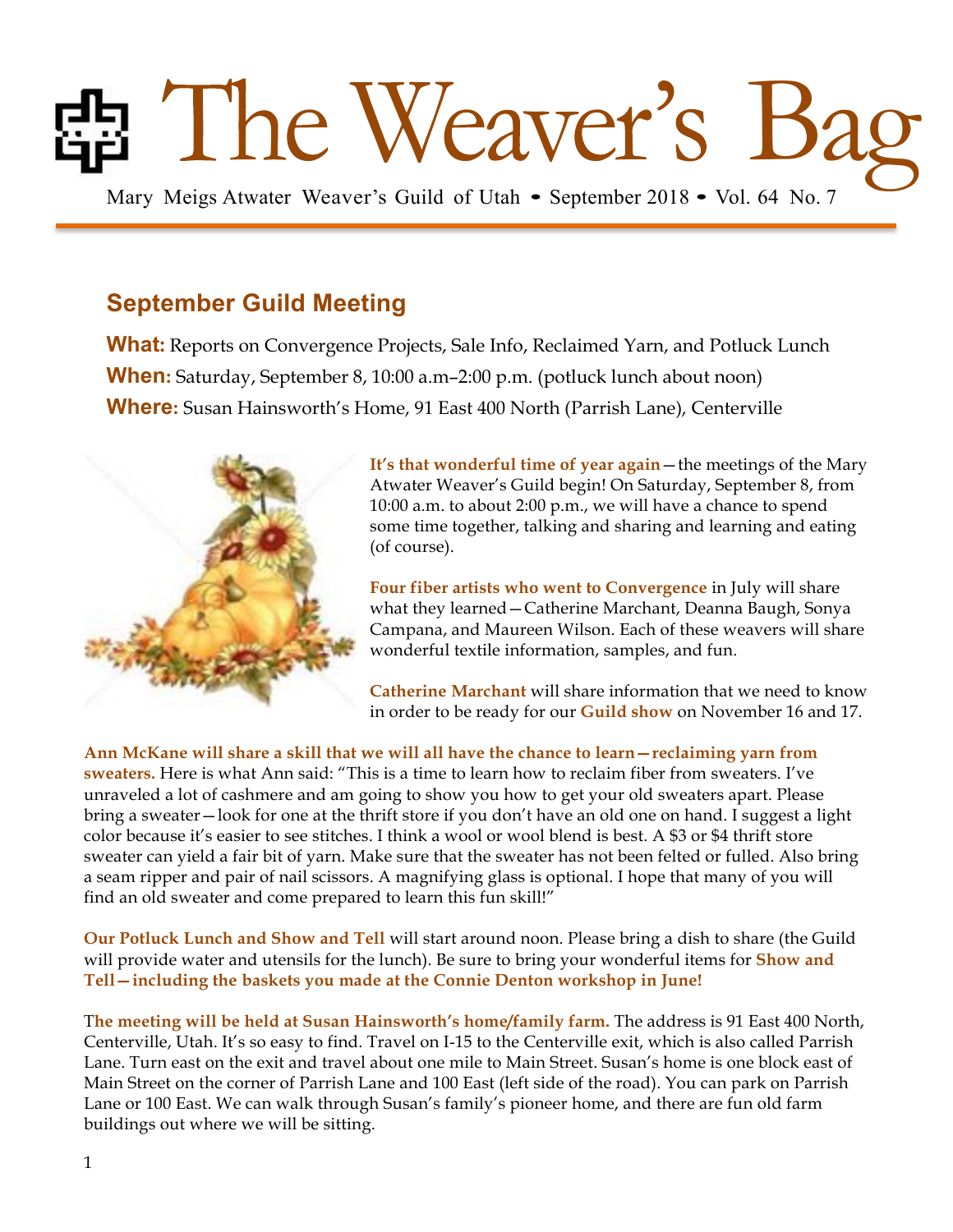# Ed The Weaver's Guild of Utah • September 2018 • Vol. 64 No. 7

## **September Guild Meeting**

**What:** Reports on Convergence Projects, Sale Info, Reclaimed Yarn, and Potluck Lunch **When:** Saturday, September 8, 10:00 a.m–2:00 p.m. (potluck lunch about noon) **Where:** Susan Hainsworth's Home, 91 East 400 North (Parrish Lane), Centerville



**It's that wonderful time of year again**—the meetings of the Mary Atwater Weaver's Guild begin! On Saturday, September 8, from 10:00 a.m. to about 2:00 p.m., we will have a chance to spend some time together, talking and sharing and learning and eating (of course).

**Four fiber artists who went to Convergence** in July will share what they learned—Catherine Marchant, Deanna Baugh, Sonya Campana, and Maureen Wilson. Each of these weavers will share wonderful textile information, samples, and fun.

**Catherine Marchant** will share information that we need to know in order to be ready for our **Guild show** on November 16 and 17.

**Ann McKane will share a skill that we will all have the chance to learn—reclaiming yarn from sweaters.** Here is what Ann said: "This is a time to learn how to reclaim fiber from sweaters. I've unraveled a lot of cashmere and am going to show you how to get your old sweaters apart. Please bring a sweater—look for one at the thrift store if you don't have an old one on hand. I suggest a light color because it's easier to see stitches. I think a wool or wool blend is best. A \$3 or \$4 thrift store sweater can yield a fair bit of yarn. Make sure that the sweater has not been felted or fulled. Also bring a seam ripper and pair of nail scissors. A magnifying glass is optional. I hope that many of you will find an old sweater and come prepared to learn this fun skill!"

**Our Potluck Lunch and Show and Tell** will start around noon. Please bring a dish to share (the Guild will provide water and utensils for the lunch). Be sure to bring your wonderful items for **Show and Tell—including the baskets you made at the Connie Denton workshop in June!**

T**he meeting will be held at Susan Hainsworth's home/family farm.** The address is 91 East 400 North, Centerville, Utah. It's so easy to find. Travel on I-15 to the Centerville exit, which is also called Parrish Lane. Turn east on the exit and travel about one mile to Main Street. Susan's home is one block east of Main Street on the corner of Parrish Lane and 100 East (left side of the road). You can park on Parrish Lane or 100 East. We can walk through Susan's family's pioneer home, and there are fun old farm buildings out where we will be sitting.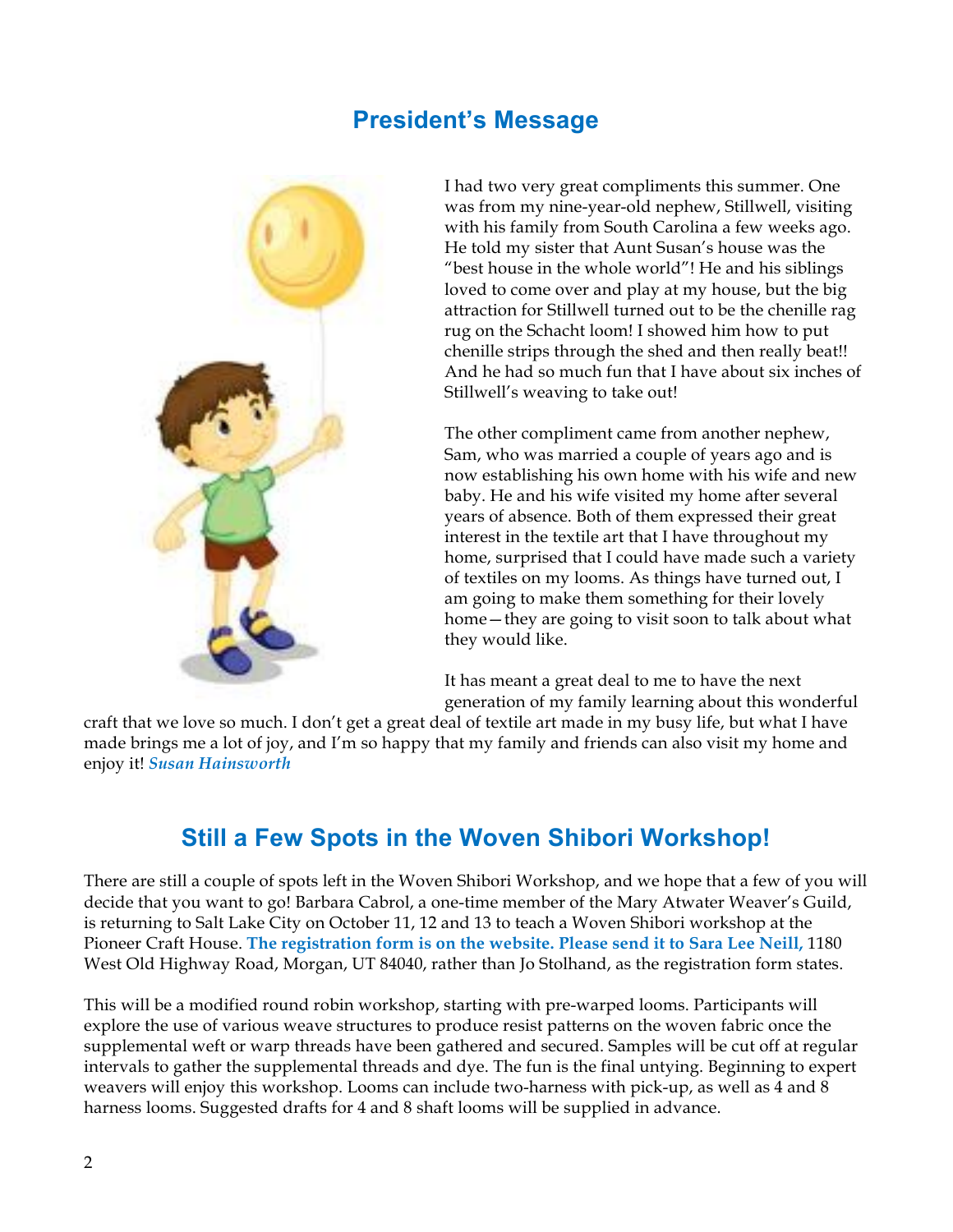#### **President's Message**



I had two very great compliments this summer. One was from my nine-year-old nephew, Stillwell, visiting with his family from South Carolina a few weeks ago. He told my sister that Aunt Susan's house was the "best house in the whole world"! He and his siblings loved to come over and play at my house, but the big attraction for Stillwell turned out to be the chenille rag rug on the Schacht loom! I showed him how to put chenille strips through the shed and then really beat!! And he had so much fun that I have about six inches of Stillwell's weaving to take out!

The other compliment came from another nephew, Sam, who was married a couple of years ago and is now establishing his own home with his wife and new baby. He and his wife visited my home after several years of absence. Both of them expressed their great interest in the textile art that I have throughout my home, surprised that I could have made such a variety of textiles on my looms. As things have turned out, I am going to make them something for their lovely home—they are going to visit soon to talk about what they would like.

It has meant a great deal to me to have the next generation of my family learning about this wonderful

craft that we love so much. I don't get a great deal of textile art made in my busy life, but what I have made brings me a lot of joy, and I'm so happy that my family and friends can also visit my home and enjoy it! *Susan Hainsworth*

## **Still a Few Spots in the Woven Shibori Workshop!**

There are still a couple of spots left in the Woven Shibori Workshop, and we hope that a few of you will decide that you want to go! Barbara Cabrol, a one-time member of the Mary Atwater Weaver's Guild, is returning to Salt Lake City on October 11, 12 and 13 to teach a Woven Shibori workshop at the Pioneer Craft House. **The registration form is on the website. Please send it to Sara Lee Neill,** 1180 West Old Highway Road, Morgan, UT 84040, rather than Jo Stolhand, as the registration form states.

This will be a modified round robin workshop, starting with pre-warped looms. Participants will explore the use of various weave structures to produce resist patterns on the woven fabric once the supplemental weft or warp threads have been gathered and secured. Samples will be cut off at regular intervals to gather the supplemental threads and dye. The fun is the final untying. Beginning to expert weavers will enjoy this workshop. Looms can include two-harness with pick-up, as well as 4 and 8 harness looms. Suggested drafts for 4 and 8 shaft looms will be supplied in advance.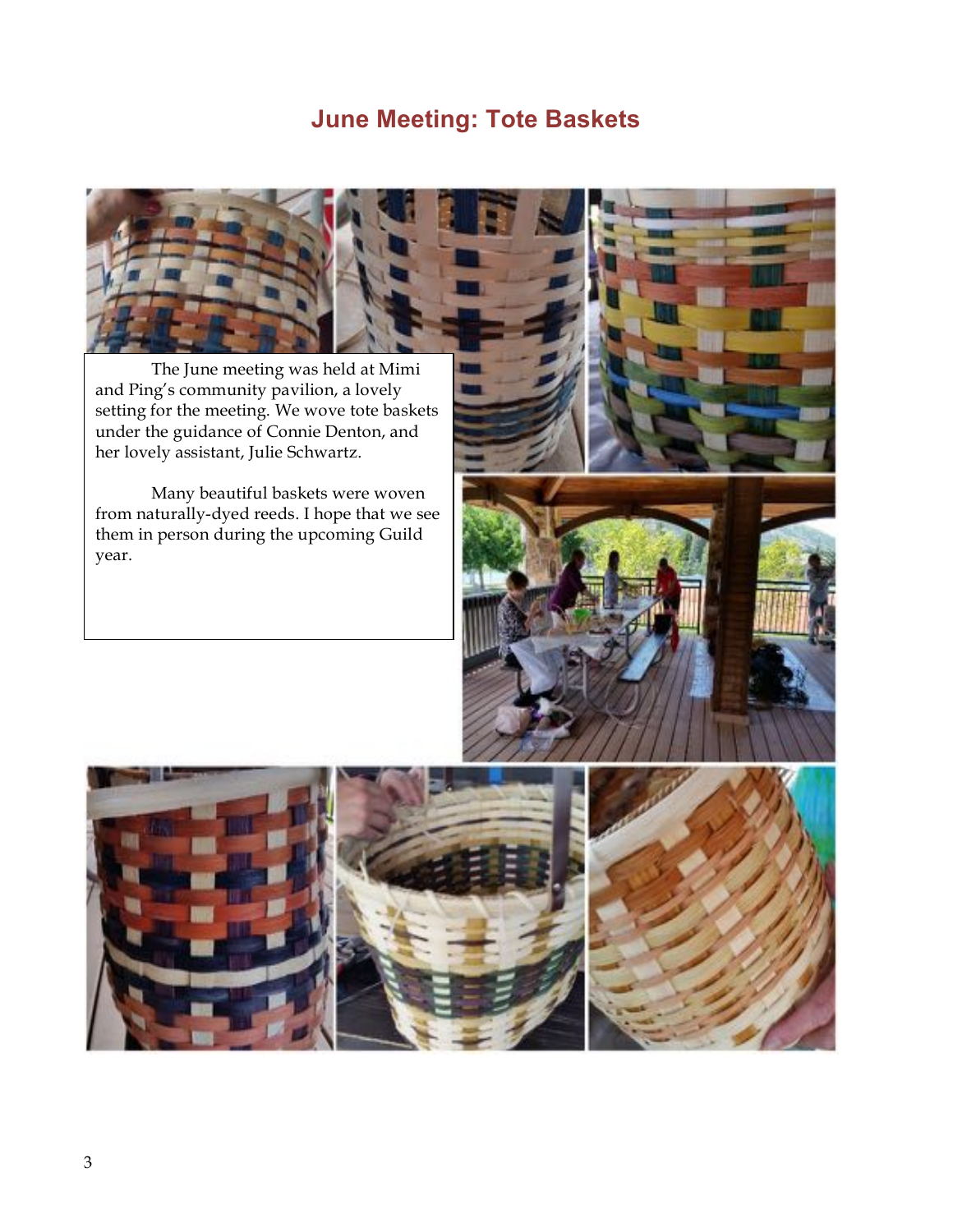## **June Meeting: Tote Baskets**



The June meeting was held at Mimi and Ping's community pavilion, a lovely setting for the meeting. We wove tote baskets under the guidance of Connie Denton, and her lovely assistant, Julie Schwartz.

Many beautiful baskets were woven from naturally-dyed reeds. I hope that we see them in person during the upcoming Guild year.



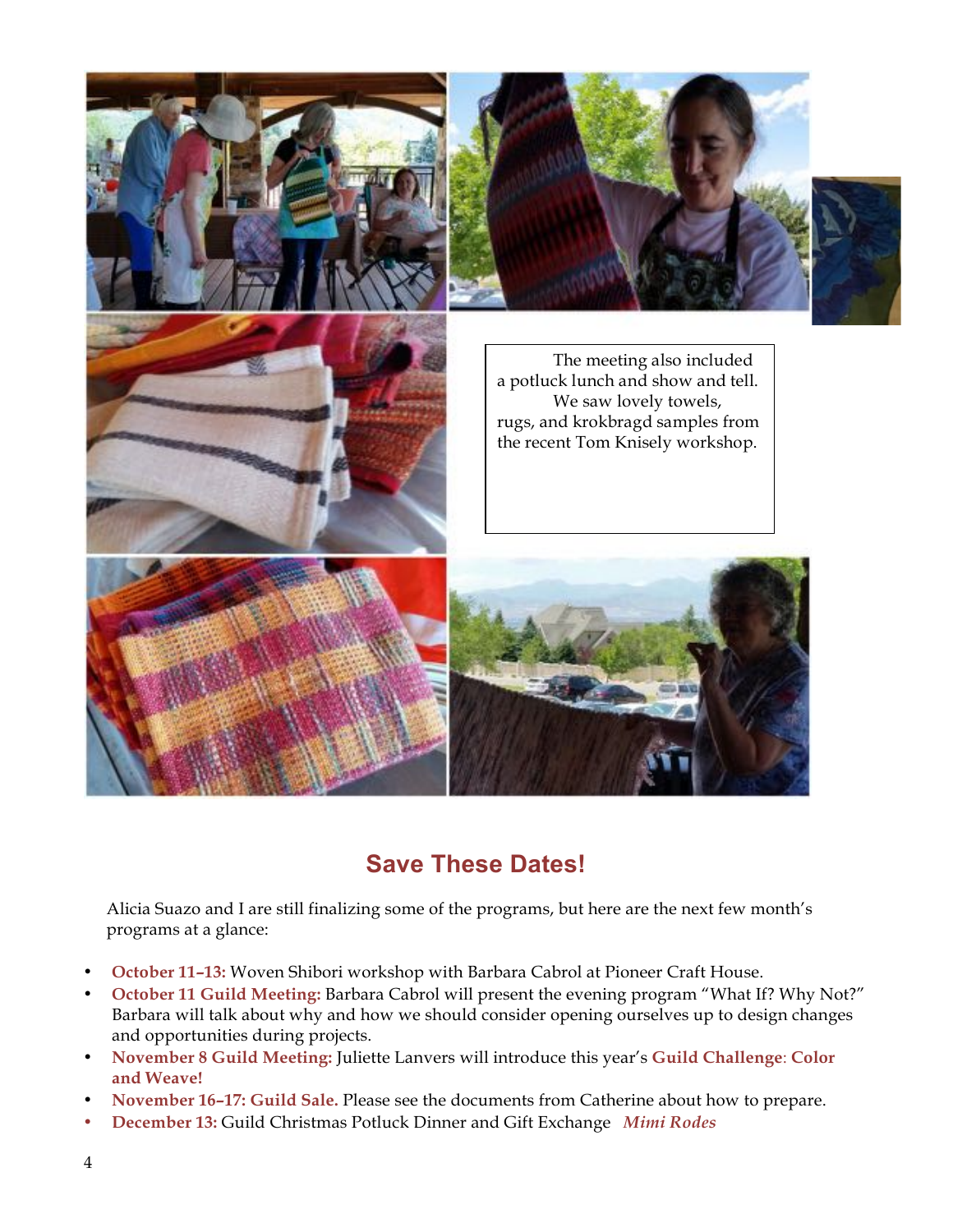

#### **Save These Dates!**

Alicia Suazo and I are still finalizing some of the programs, but here are the next few month's programs at a glance:

- **October 11–13:** Woven Shibori workshop with Barbara Cabrol at Pioneer Craft House.
- **October 11 Guild Meeting:** Barbara Cabrol will present the evening program "What If? Why Not?" Barbara will talk about why and how we should consider opening ourselves up to design changes and opportunities during projects.
- **November 8 Guild Meeting:** Juliette Lanvers will introduce this year's **Guild Challenge**: **Color and Weave!**
- **November 16–17: Guild Sale.** Please see the documents from Catherine about how to prepare.
- **December 13:** Guild Christmas Potluck Dinner and Gift Exchange *Mimi Rodes*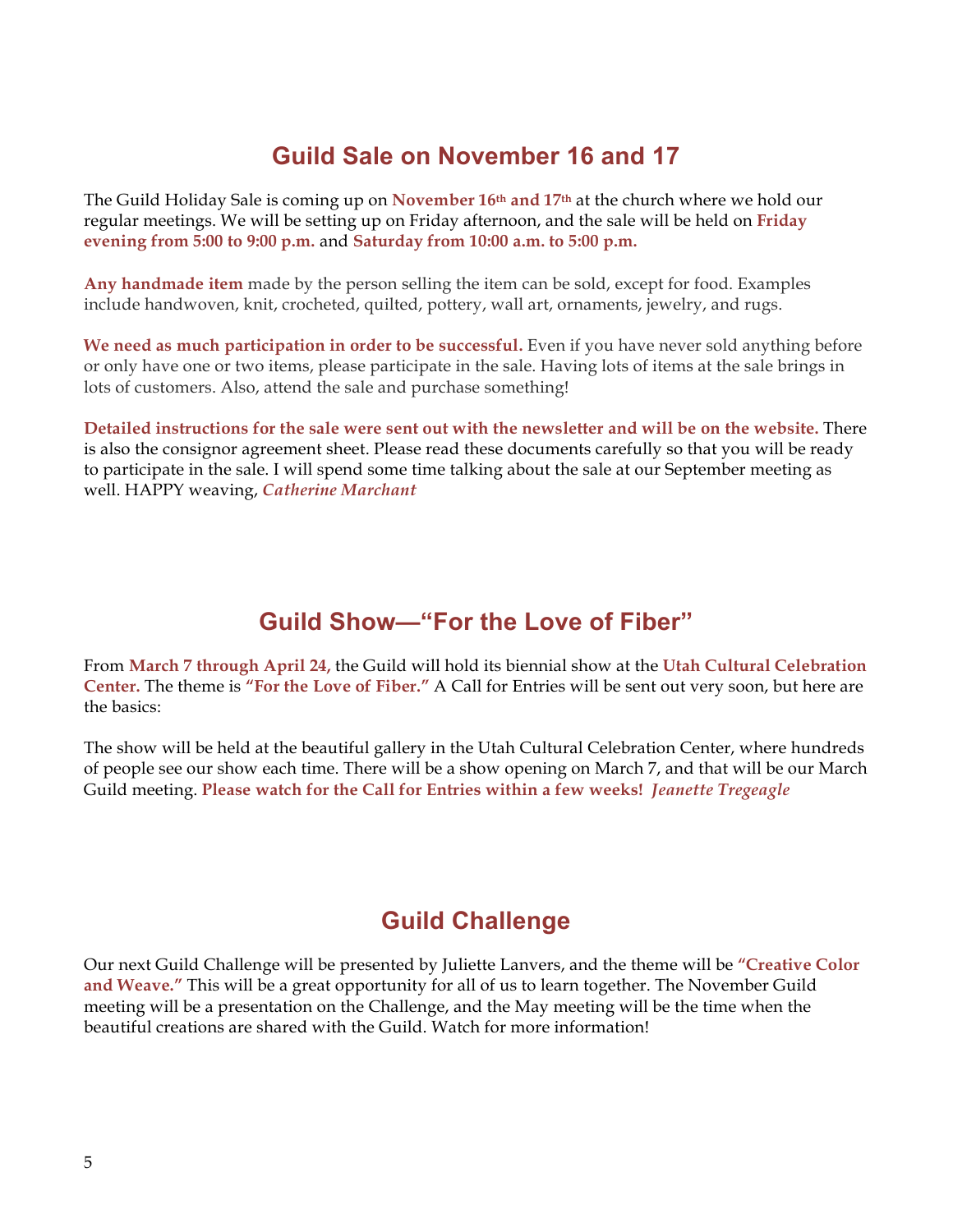#### **Guild Sale on November 16 and 17**

The Guild Holiday Sale is coming up on **November 16th and 17th** at the church where we hold our regular meetings. We will be setting up on Friday afternoon, and the sale will be held on **Friday evening from 5:00 to 9:00 p.m.** and **Saturday from 10:00 a.m. to 5:00 p.m.**

**Any handmade item** made by the person selling the item can be sold, except for food. Examples include handwoven, knit, crocheted, quilted, pottery, wall art, ornaments, jewelry, and rugs.

**We need as much participation in order to be successful.** Even if you have never sold anything before or only have one or two items, please participate in the sale. Having lots of items at the sale brings in lots of customers. Also, attend the sale and purchase something!

**Detailed instructions for the sale were sent out with the newsletter and will be on the website.** There is also the consignor agreement sheet. Please read these documents carefully so that you will be ready to participate in the sale. I will spend some time talking about the sale at our September meeting as well. HAPPY weaving, *Catherine Marchant*

## **Guild Show—"For the Love of Fiber"**

From **March 7 through April 24,** the Guild will hold its biennial show at the **Utah Cultural Celebration Center.** The theme is **"For the Love of Fiber."** A Call for Entries will be sent out very soon, but here are the basics:

The show will be held at the beautiful gallery in the Utah Cultural Celebration Center, where hundreds of people see our show each time. There will be a show opening on March 7, and that will be our March Guild meeting. **Please watch for the Call for Entries within a few weeks!** *Jeanette Tregeagle*

## **Guild Challenge**

Our next Guild Challenge will be presented by Juliette Lanvers, and the theme will be **"Creative Color and Weave."** This will be a great opportunity for all of us to learn together. The November Guild meeting will be a presentation on the Challenge, and the May meeting will be the time when the beautiful creations are shared with the Guild. Watch for more information!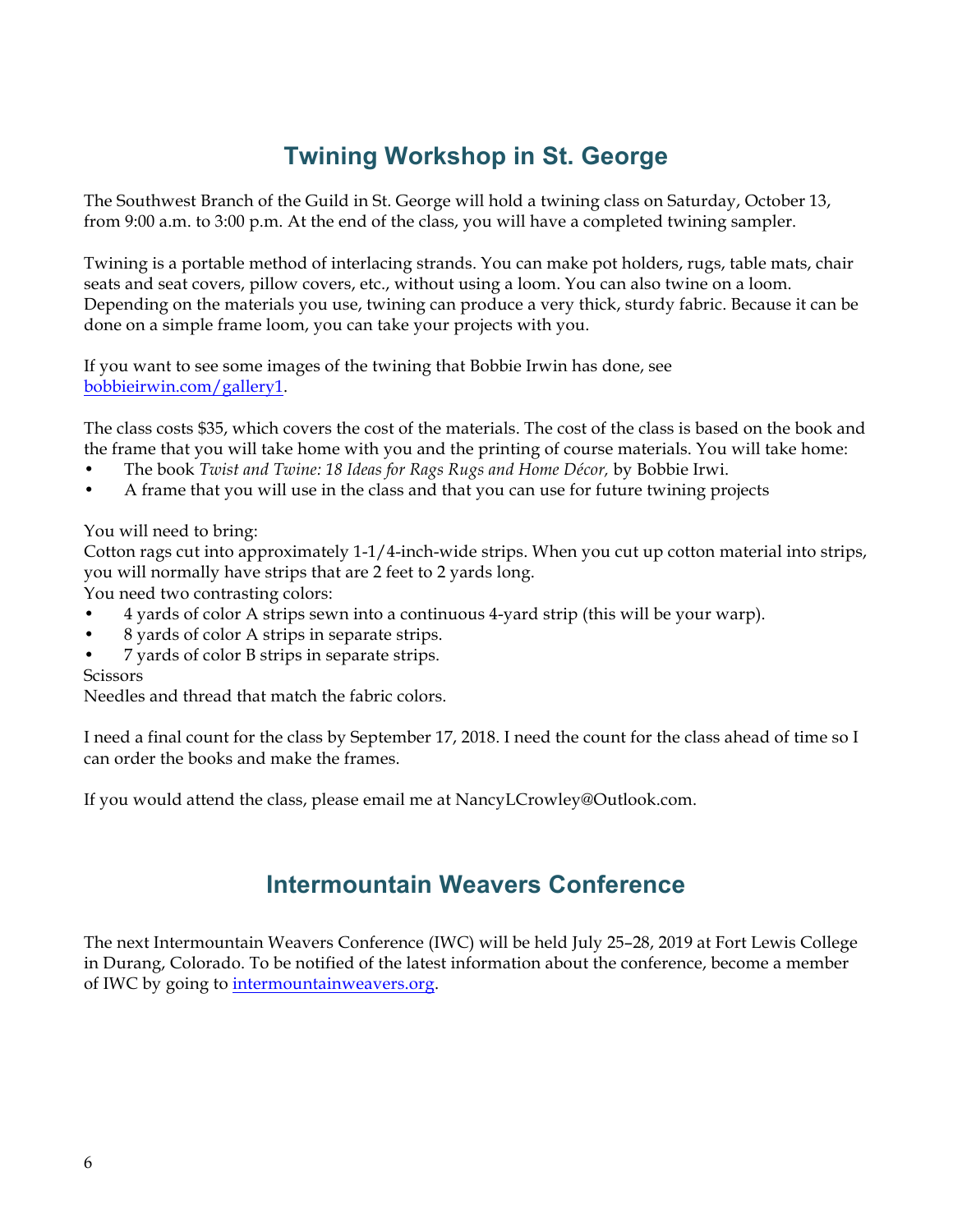## **Twining Workshop in St. George**

The Southwest Branch of the Guild in St. George will hold a twining class on Saturday, October 13, from 9:00 a.m. to 3:00 p.m. At the end of the class, you will have a completed twining sampler.

Twining is a portable method of interlacing strands. You can make pot holders, rugs, table mats, chair seats and seat covers, pillow covers, etc., without using a loom. You can also twine on a loom. Depending on the materials you use, twining can produce a very thick, sturdy fabric. Because it can be done on a simple frame loom, you can take your projects with you.

If you want to see some images of the twining that Bobbie Irwin has done, see bobbieirwin.com/gallery1.

The class costs \$35, which covers the cost of the materials. The cost of the class is based on the book and the frame that you will take home with you and the printing of course materials. You will take home:

- The book *Twist and Twine: 18 Ideas for Rags Rugs and Home Décor,* by Bobbie Irwi.
- A frame that you will use in the class and that you can use for future twining projects

#### You will need to bring:

Cotton rags cut into approximately 1-1/4-inch-wide strips. When you cut up cotton material into strips, you will normally have strips that are 2 feet to 2 yards long.

You need two contrasting colors:

- 4 yards of color A strips sewn into a continuous 4-yard strip (this will be your warp).
- 8 yards of color A strips in separate strips.
- 7 yards of color B strips in separate strips.

#### **Scissors**

Needles and thread that match the fabric colors.

I need a final count for the class by September 17, 2018. I need the count for the class ahead of time so I can order the books and make the frames.

If you would attend the class, please email me at NancyLCrowley@Outlook.com.

#### **Intermountain Weavers Conference**

The next Intermountain Weavers Conference (IWC) will be held July 25–28, 2019 at Fort Lewis College in Durang, Colorado. To be notified of the latest information about the conference, become a member of IWC by going to intermountainweavers.org.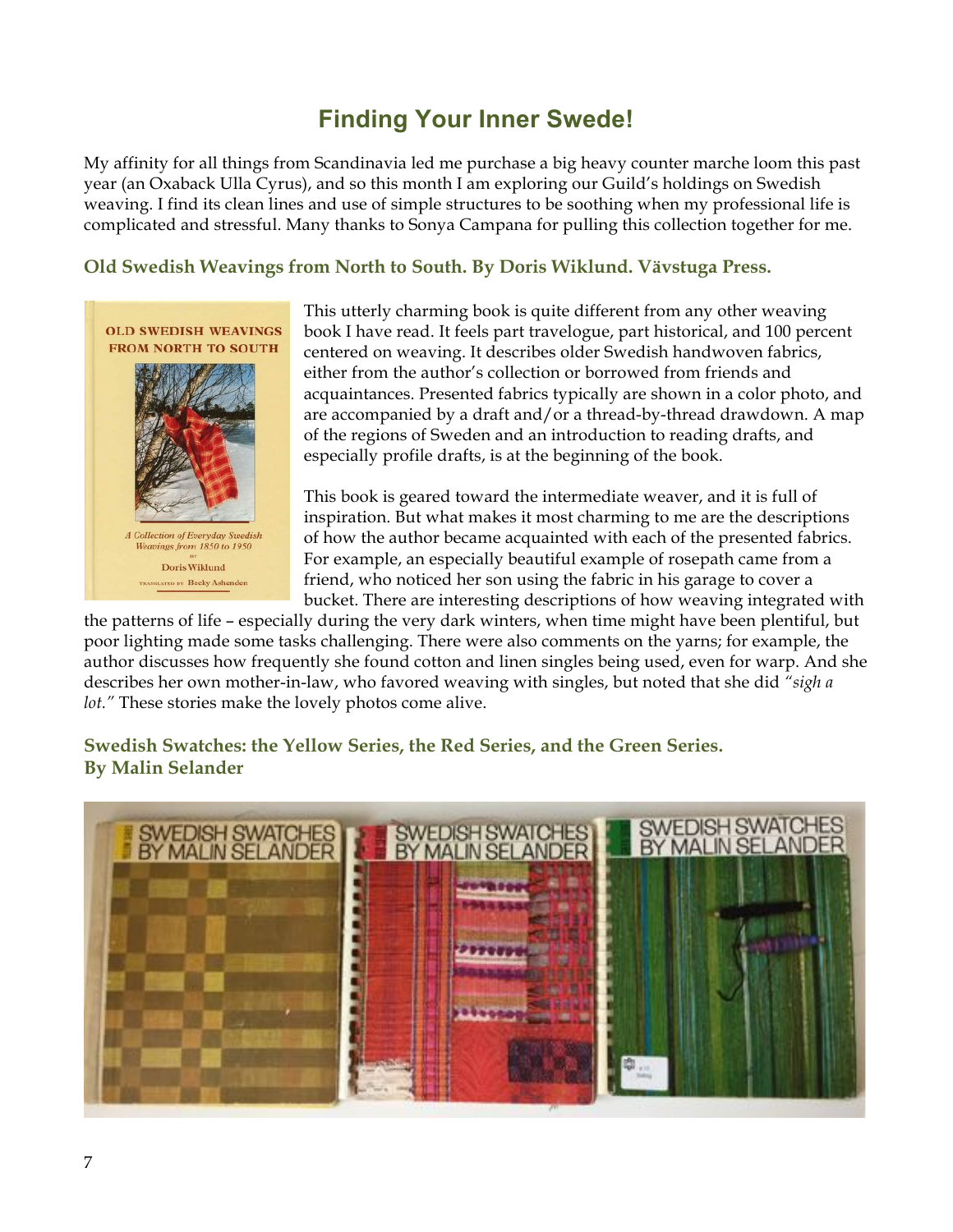## **Finding Your Inner Swede!**

My affinity for all things from Scandinavia led me purchase a big heavy counter marche loom this past year (an Oxaback Ulla Cyrus), and so this month I am exploring our Guild's holdings on Swedish weaving. I find its clean lines and use of simple structures to be soothing when my professional life is complicated and stressful. Many thanks to Sonya Campana for pulling this collection together for me.

#### **Old Swedish Weavings from North to South. By Doris Wiklund. Vävstuga Press.**



This utterly charming book is quite different from any other weaving book I have read. It feels part travelogue, part historical, and 100 percent centered on weaving. It describes older Swedish handwoven fabrics, either from the author's collection or borrowed from friends and acquaintances. Presented fabrics typically are shown in a color photo, and are accompanied by a draft and/or a thread-by-thread drawdown. A map of the regions of Sweden and an introduction to reading drafts, and especially profile drafts, is at the beginning of the book.

This book is geared toward the intermediate weaver, and it is full of inspiration. But what makes it most charming to me are the descriptions of how the author became acquainted with each of the presented fabrics. For example, an especially beautiful example of rosepath came from a friend, who noticed her son using the fabric in his garage to cover a bucket. There are interesting descriptions of how weaving integrated with

the patterns of life – especially during the very dark winters, when time might have been plentiful, but poor lighting made some tasks challenging. There were also comments on the yarns; for example, the author discusses how frequently she found cotton and linen singles being used, even for warp. And she describes her own mother-in-law, who favored weaving with singles, but noted that she did *"sigh a lot."* These stories make the lovely photos come alive.

#### **Swedish Swatches: the Yellow Series, the Red Series, and the Green Series. By Malin Selander**

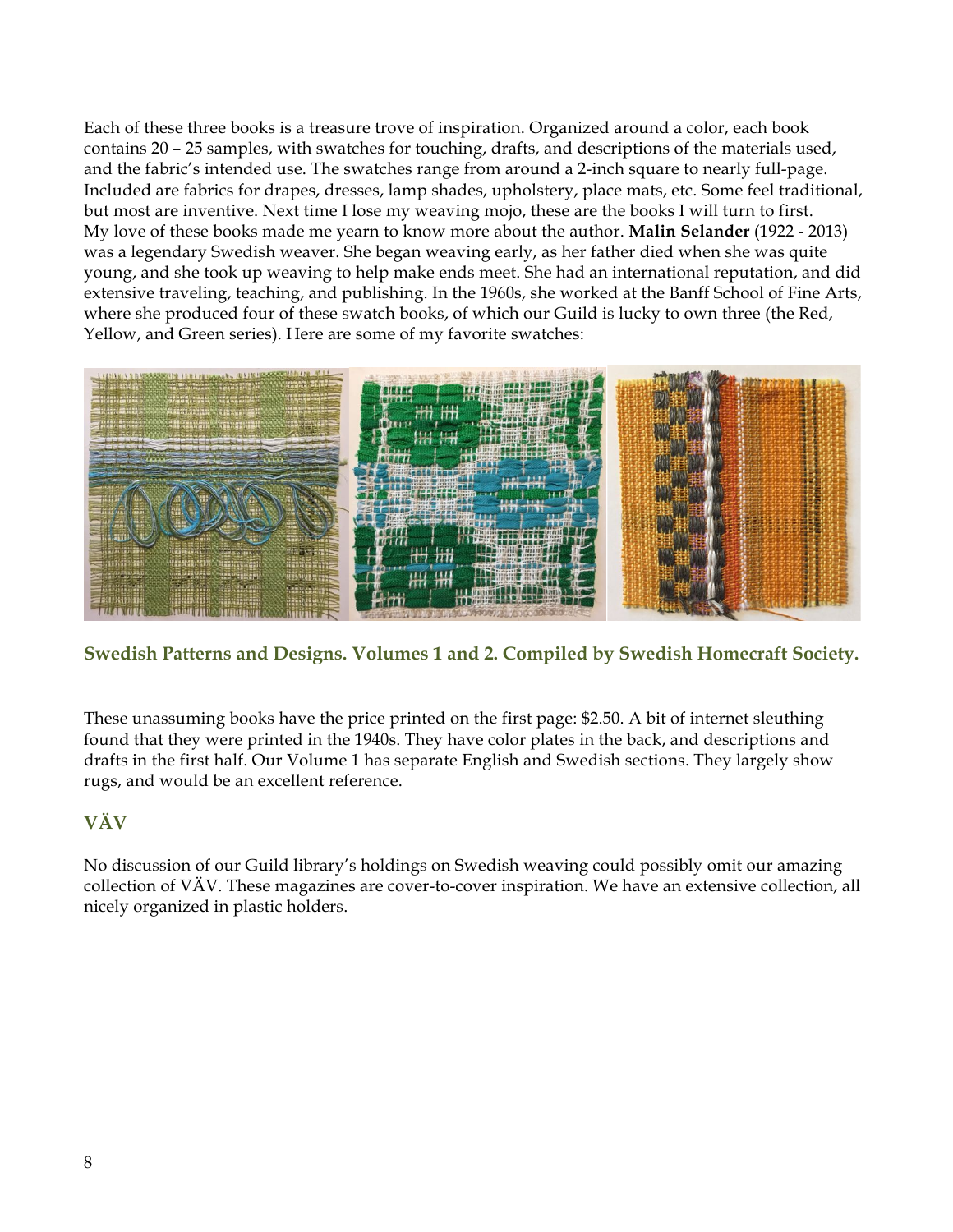Each of these three books is a treasure trove of inspiration. Organized around a color, each book contains 20 – 25 samples, with swatches for touching, drafts, and descriptions of the materials used, and the fabric's intended use. The swatches range from around a 2-inch square to nearly full-page. Included are fabrics for drapes, dresses, lamp shades, upholstery, place mats, etc. Some feel traditional, but most are inventive. Next time I lose my weaving mojo, these are the books I will turn to first. My love of these books made me yearn to know more about the author. **Malin Selander** (1922 - 2013) was a legendary Swedish weaver. She began weaving early, as her father died when she was quite young, and she took up weaving to help make ends meet. She had an international reputation, and did extensive traveling, teaching, and publishing. In the 1960s, she worked at the Banff School of Fine Arts, where she produced four of these swatch books, of which our Guild is lucky to own three (the Red, Yellow, and Green series). Here are some of my favorite swatches:



#### **Swedish Patterns and Designs. Volumes 1 and 2. Compiled by Swedish Homecraft Society.**

These unassuming books have the price printed on the first page: \$2.50. A bit of internet sleuthing found that they were printed in the 1940s. They have color plates in the back, and descriptions and drafts in the first half. Our Volume 1 has separate English and Swedish sections. They largely show rugs, and would be an excellent reference.

#### **VÄV**

No discussion of our Guild library's holdings on Swedish weaving could possibly omit our amazing collection of VÄV. These magazines are cover-to-cover inspiration. We have an extensive collection, all nicely organized in plastic holders.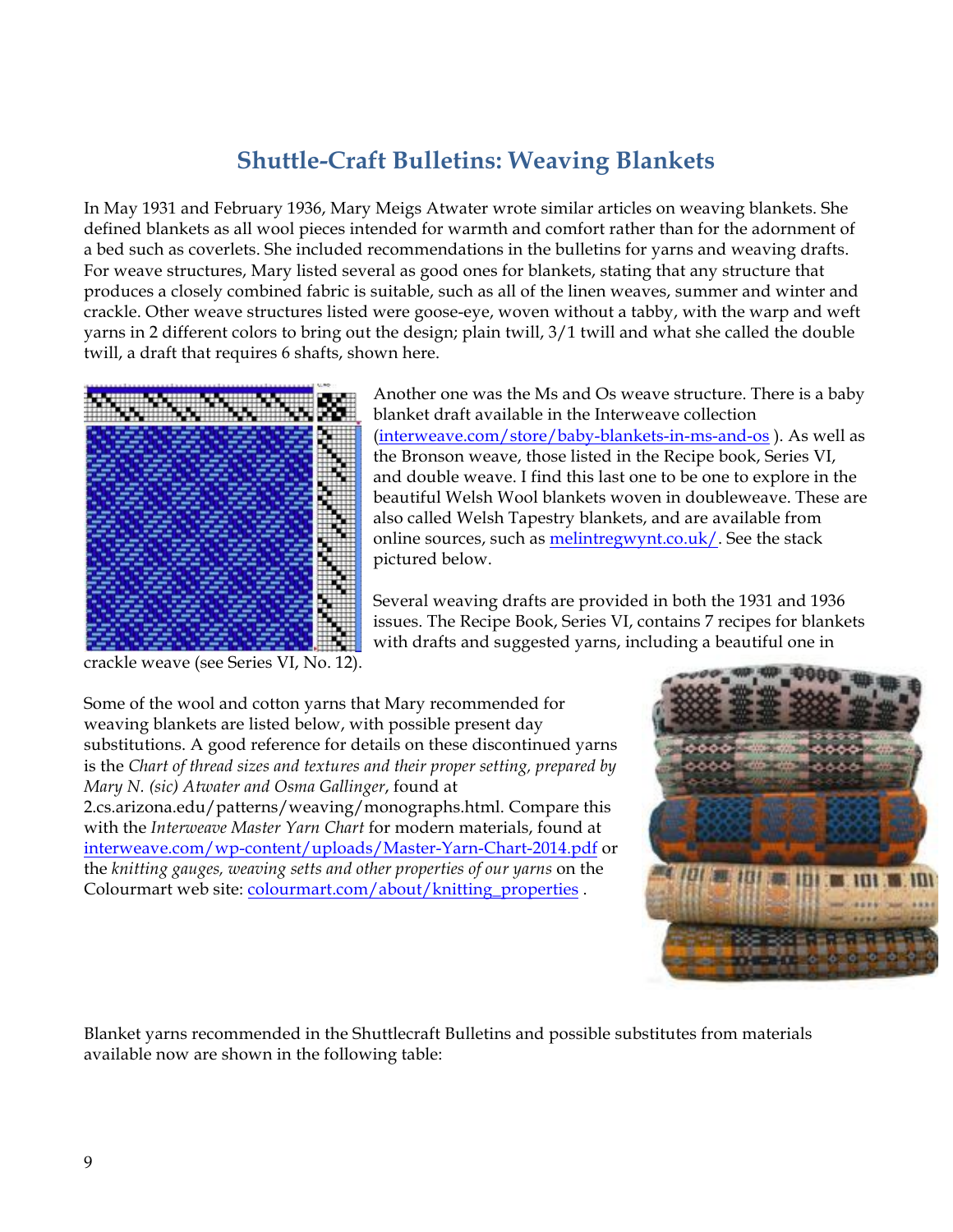## **Shuttle-Craft Bulletins: Weaving Blankets**

In May 1931 and February 1936, Mary Meigs Atwater wrote similar articles on weaving blankets. She defined blankets as all wool pieces intended for warmth and comfort rather than for the adornment of a bed such as coverlets. She included recommendations in the bulletins for yarns and weaving drafts. For weave structures, Mary listed several as good ones for blankets, stating that any structure that produces a closely combined fabric is suitable, such as all of the linen weaves, summer and winter and crackle. Other weave structures listed were goose-eye, woven without a tabby, with the warp and weft yarns in 2 different colors to bring out the design; plain twill, 3/1 twill and what she called the double twill, a draft that requires 6 shafts, shown here.



Another one was the Ms and Os weave structure. There is a baby blanket draft available in the Interweave collection (interweave.com/store/baby-blankets-in-ms-and-os ). As well as the Bronson weave, those listed in the Recipe book, Series VI, and double weave. I find this last one to be one to explore in the beautiful Welsh Wool blankets woven in doubleweave. These are also called Welsh Tapestry blankets, and are available from online sources, such as melintregwynt.co.uk/. See the stack pictured below.

Several weaving drafts are provided in both the 1931 and 1936 issues. The Recipe Book, Series VI, contains 7 recipes for blankets with drafts and suggested yarns, including a beautiful one in

crackle weave (see Series VI, No. 12).

Some of the wool and cotton yarns that Mary recommended for weaving blankets are listed below, with possible present day substitutions. A good reference for details on these discontinued yarns is the *Chart of thread sizes and textures and their proper setting, prepared by Mary N. (sic) Atwater and Osma Gallinger*, found at 2.cs.arizona.edu/patterns/weaving/monographs.html. Compare this with the *Interweave Master Yarn Chart* for modern materials, found at interweave.com/wp-content/uploads/Master-Yarn-Chart-2014.pdf or the *knitting gauges, weaving setts and other properties of our yarns* on the Colourmart web site: colourmart.com/about/knitting\_properties .



Blanket yarns recommended in the Shuttlecraft Bulletins and possible substitutes from materials available now are shown in the following table: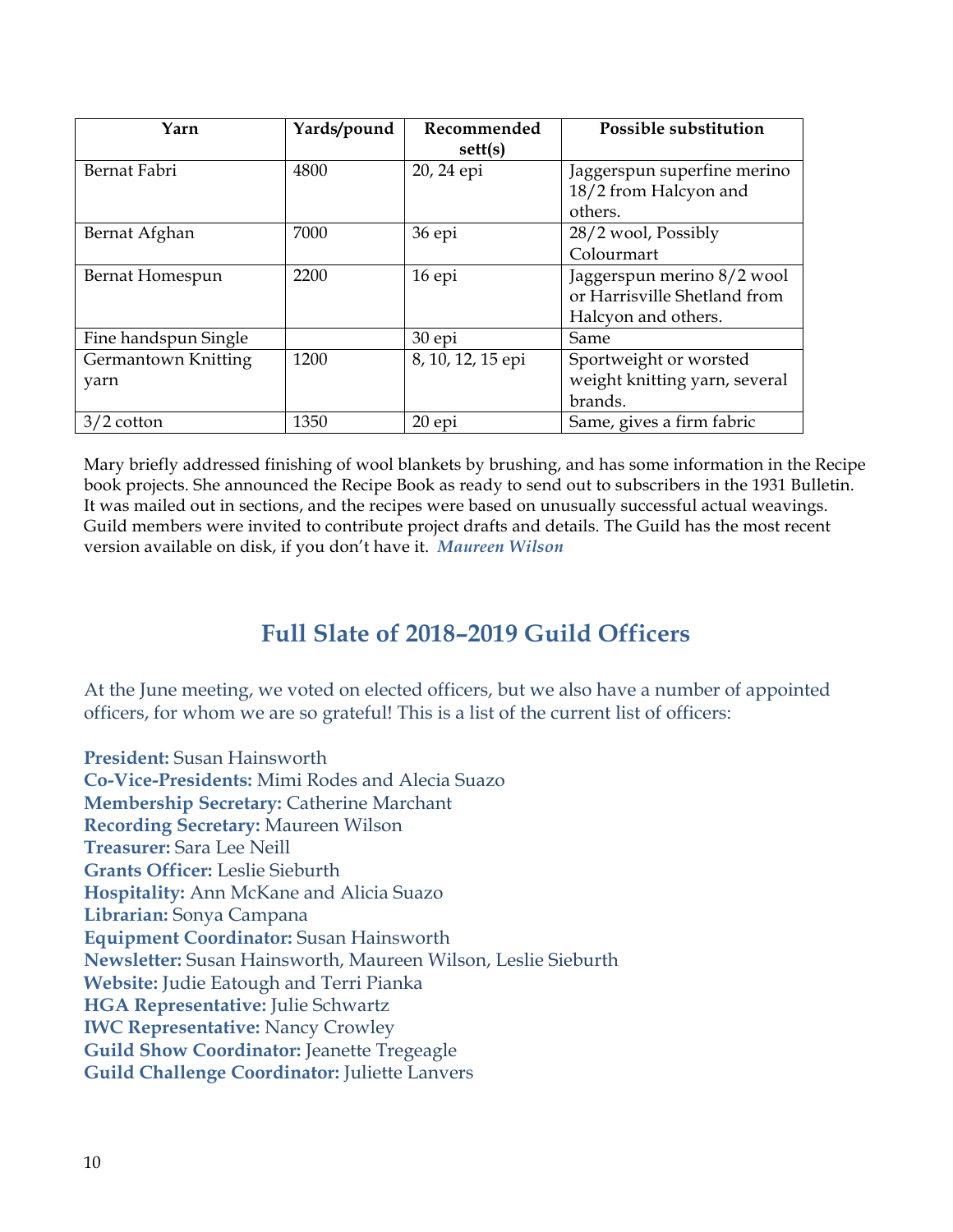| Yarn                 | Yards/pound | Recommended       | <b>Possible substitution</b>  |
|----------------------|-------------|-------------------|-------------------------------|
|                      |             | sett(s)           |                               |
| Bernat Fabri         | 4800        | 20, 24 epi        | Jaggerspun superfine merino   |
|                      |             |                   | 18/2 from Halcyon and         |
|                      |             |                   | others.                       |
| Bernat Afghan        | 7000        | 36 epi            | 28/2 wool, Possibly           |
|                      |             |                   | Colourmart                    |
| Bernat Homespun      | 2200        | 16 epi            | Jaggerspun merino 8/2 wool    |
|                      |             |                   | or Harrisville Shetland from  |
|                      |             |                   | Halcyon and others.           |
| Fine handspun Single |             | 30 epi            | Same                          |
| Germantown Knitting  | 1200        | 8, 10, 12, 15 epi | Sportweight or worsted        |
| yarn                 |             |                   | weight knitting yarn, several |
|                      |             |                   | brands.                       |
| $3/2$ cotton         | 1350        | 20epi             | Same, gives a firm fabric     |

Mary briefly addressed finishing of wool blankets by brushing, and has some information in the Recipe book projects. She announced the Recipe Book as ready to send out to subscribers in the 1931 Bulletin. It was mailed out in sections, and the recipes were based on unusually successful actual weavings. Guild members were invited to contribute project drafts and details. The Guild has the most recent version available on disk, if you don't have it. *Maureen Wilson*

#### **Full Slate of 2018–2019 Guild Officers**

At the June meeting, we voted on elected officers, but we also have a number of appointed officers, for whom we are so grateful! This is a list of the current list of officers:

**President:** Susan Hainsworth **Co-Vice-Presidents:** Mimi Rodes and Alecia Suazo **Membership Secretary:** Catherine Marchant **Recording Secretary:** Maureen Wilson **Treasurer:** Sara Lee Neill **Grants Officer:** Leslie Sieburth **Hospitality:** Ann McKane and Alicia Suazo **Librarian:** Sonya Campana **Equipment Coordinator:** Susan Hainsworth **Newsletter:** Susan Hainsworth, Maureen Wilson, Leslie Sieburth **Website:** Judie Eatough and Terri Pianka **HGA Representative:** Julie Schwartz **IWC Representative:** Nancy Crowley **Guild Show Coordinator:** Jeanette Tregeagle **Guild Challenge Coordinator:** Juliette Lanvers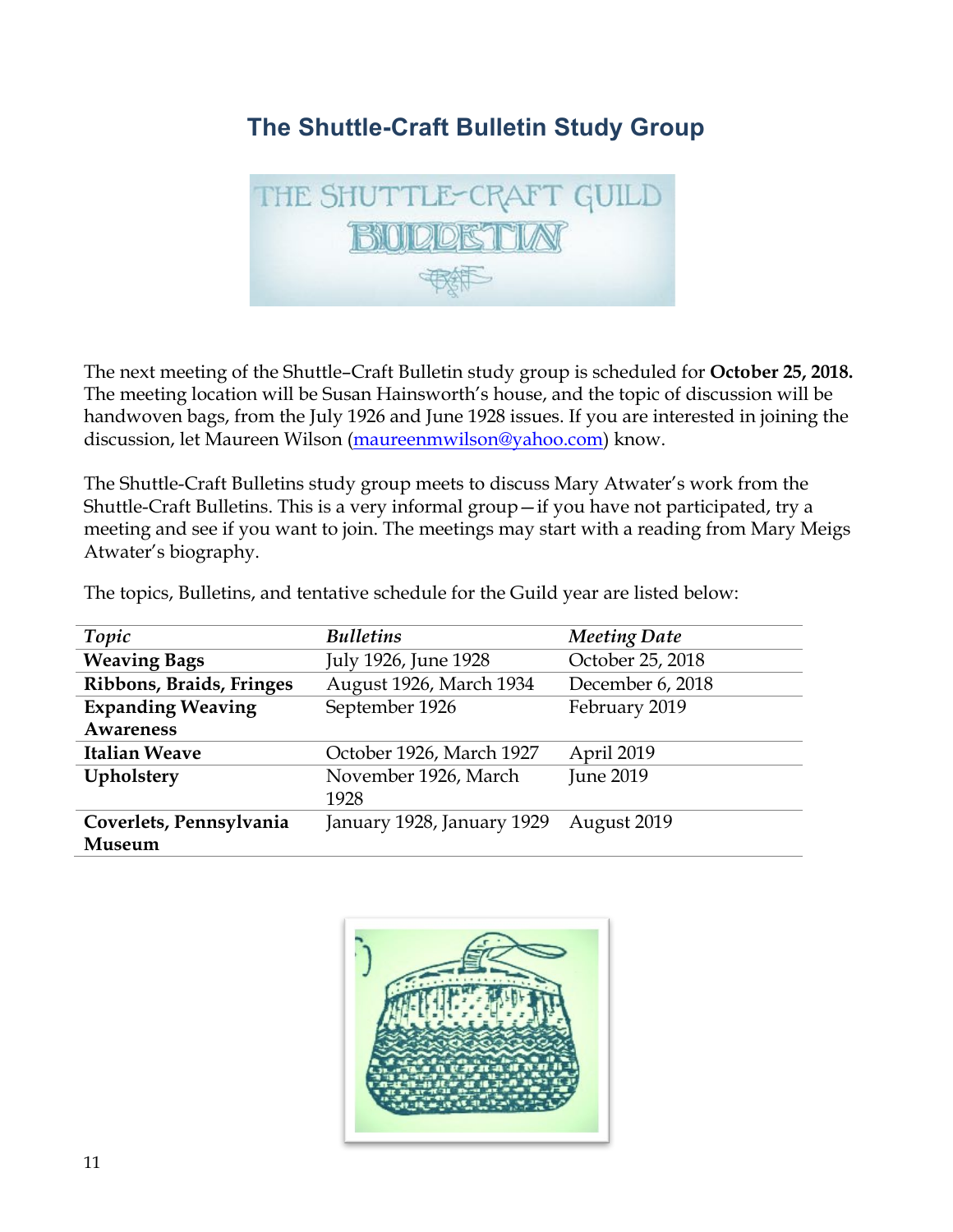## **The Shuttle-Craft Bulletin Study Group**



The next meeting of the Shuttle–Craft Bulletin study group is scheduled for **October 25, 2018.** The meeting location will be Susan Hainsworth's house, and the topic of discussion will be handwoven bags, from the July 1926 and June 1928 issues. If you are interested in joining the discussion, let Maureen Wilson (maureenmwilson@yahoo.com) know.

The Shuttle-Craft Bulletins study group meets to discuss Mary Atwater's work from the Shuttle-Craft Bulletins. This is a very informal group—if you have not participated, try a meeting and see if you want to join. The meetings may start with a reading from Mary Meigs Atwater's biography.

The topics, Bulletins, and tentative schedule for the Guild year are listed below:

| Topic                    | <b>Bulletins</b>             | <b>Meeting Date</b> |
|--------------------------|------------------------------|---------------------|
| <b>Weaving Bags</b>      | July 1926, June 1928         | October 25, 2018    |
| Ribbons, Braids, Fringes | August 1926, March 1934      | December 6, 2018    |
| <b>Expanding Weaving</b> | September 1926               | February 2019       |
| <b>Awareness</b>         |                              |                     |
| <b>Italian Weave</b>     | October 1926, March 1927     | April 2019          |
| Upholstery               | November 1926, March<br>1928 | <b>June 2019</b>    |
| Coverlets, Pennsylvania  | January 1928, January 1929   | August 2019         |
| Museum                   |                              |                     |